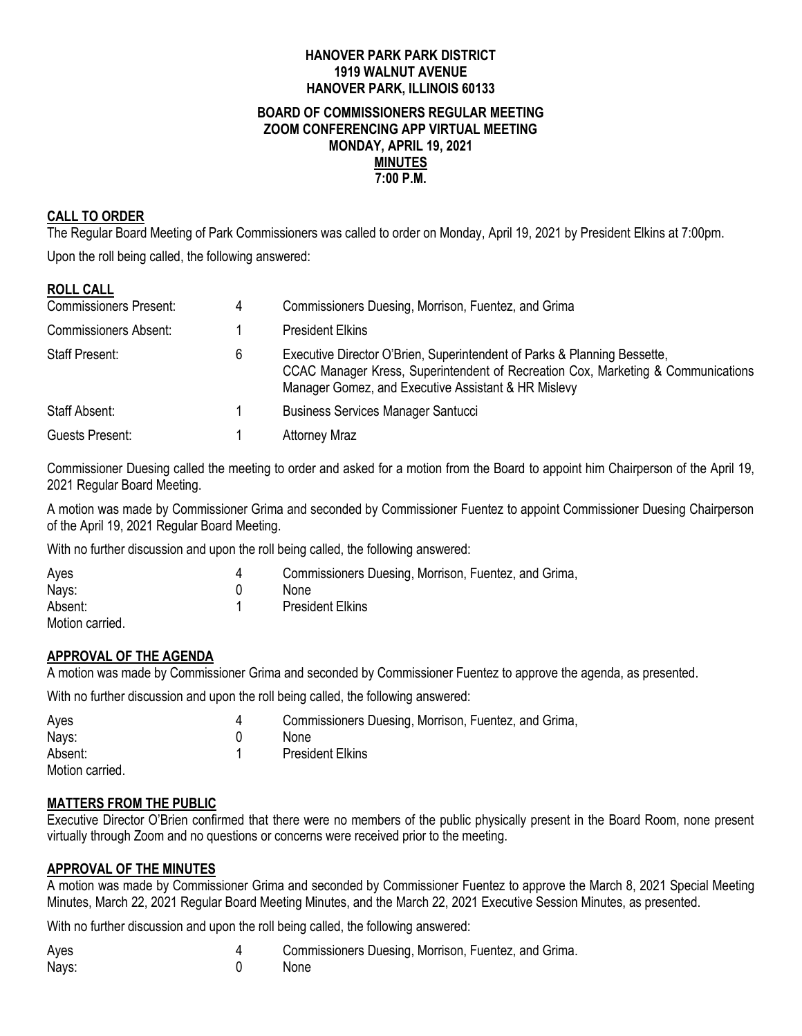#### **HANOVER PARK PARK DISTRICT 1919 WALNUT AVENUE HANOVER PARK, ILLINOIS 60133 BOARD OF COMMISSIONERS REGULAR MEETING ZOOM CONFERENCING APP VIRTUAL MEETING MONDAY, APRIL 19, 2021 MINUTES 7:00 P.M.**

#### **CALL TO ORDER**

The Regular Board Meeting of Park Commissioners was called to order on Monday, April 19, 2021 by President Elkins at 7:00pm.

Upon the roll being called, the following answered:

| <b>ROLL CALL</b>              |   |                                                                                                                                                                                                                     |
|-------------------------------|---|---------------------------------------------------------------------------------------------------------------------------------------------------------------------------------------------------------------------|
| <b>Commissioners Present:</b> | 4 | Commissioners Duesing, Morrison, Fuentez, and Grima                                                                                                                                                                 |
| <b>Commissioners Absent:</b>  |   | <b>President Elkins</b>                                                                                                                                                                                             |
| <b>Staff Present:</b>         | 6 | Executive Director O'Brien, Superintendent of Parks & Planning Bessette,<br>CCAC Manager Kress, Superintendent of Recreation Cox, Marketing & Communications<br>Manager Gomez, and Executive Assistant & HR Mislevy |
| Staff Absent:                 |   | <b>Business Services Manager Santucci</b>                                                                                                                                                                           |
| Guests Present:               |   | <b>Attorney Mraz</b>                                                                                                                                                                                                |

Commissioner Duesing called the meeting to order and asked for a motion from the Board to appoint him Chairperson of the April 19, 2021 Regular Board Meeting.

A motion was made by Commissioner Grima and seconded by Commissioner Fuentez to appoint Commissioner Duesing Chairperson of the April 19, 2021 Regular Board Meeting.

With no further discussion and upon the roll being called, the following answered:

| Ayes            | Commissioners Duesing, Morrison, Fuentez, and Grima, |
|-----------------|------------------------------------------------------|
| Nays:           | <b>None</b>                                          |
| Absent:         | <b>President Elkins</b>                              |
| Motion carried. |                                                      |

#### **APPROVAL OF THE AGENDA**

A motion was made by Commissioner Grima and seconded by Commissioner Fuentez to approve the agenda, as presented.

With no further discussion and upon the roll being called, the following answered:

| Ayes            | Commissioners Duesing, Morrison, Fuentez, and Grima, |
|-----------------|------------------------------------------------------|
| Nays:           | None                                                 |
| Absent:         | <b>President Elkins</b>                              |
| Motion carried. |                                                      |

#### **MATTERS FROM THE PUBLIC**

Executive Director O'Brien confirmed that there were no members of the public physically present in the Board Room, none present virtually through Zoom and no questions or concerns were received prior to the meeting.

#### **APPROVAL OF THE MINUTES**

A motion was made by Commissioner Grima and seconded by Commissioner Fuentez to approve the March 8, 2021 Special Meeting Minutes, March 22, 2021 Regular Board Meeting Minutes, and the March 22, 2021 Executive Session Minutes, as presented.

With no further discussion and upon the roll being called, the following answered:

| Ayes  | Commissioners Duesing, Morrison, Fuentez, and Grima. |
|-------|------------------------------------------------------|
| Nays: | <b>None</b>                                          |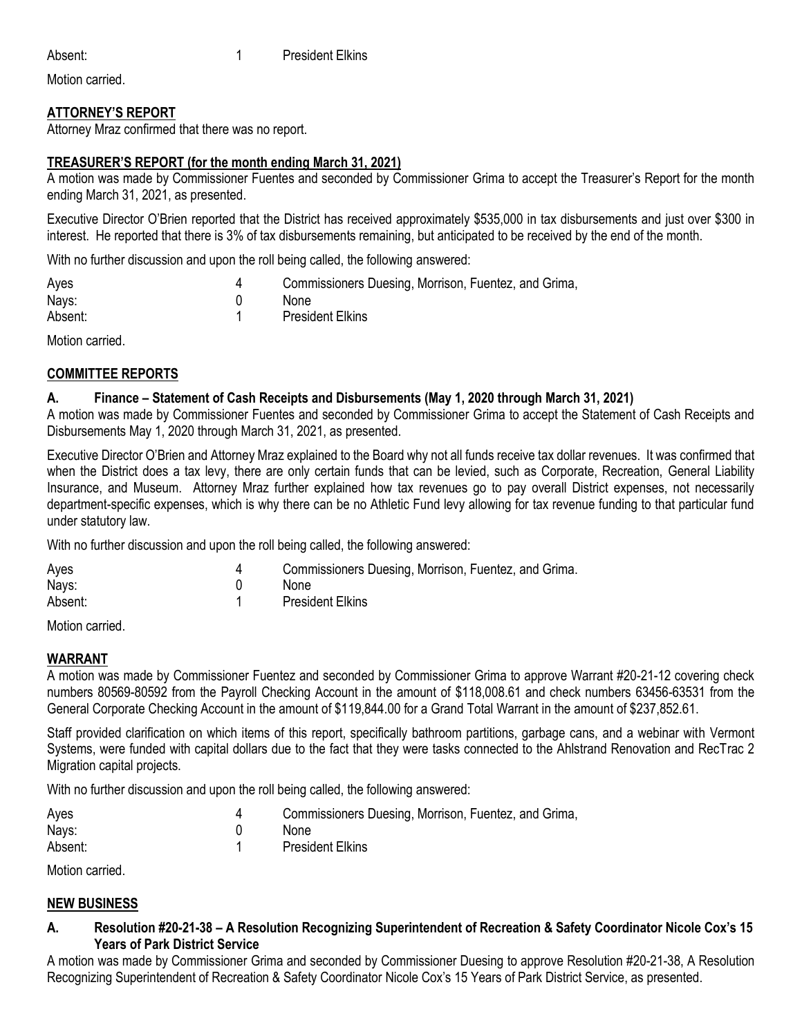Motion carried.

## **ATTORNEY'S REPORT**

Attorney Mraz confirmed that there was no report.

## **TREASURER'S REPORT (for the month ending March 31, 2021)**

A motion was made by Commissioner Fuentes and seconded by Commissioner Grima to accept the Treasurer's Report for the month ending March 31, 2021, as presented.

Executive Director O'Brien reported that the District has received approximately \$535,000 in tax disbursements and just over \$300 in interest. He reported that there is 3% of tax disbursements remaining, but anticipated to be received by the end of the month.

With no further discussion and upon the roll being called, the following answered:

| Ayes    | Commissioners Duesing, Morrison, Fuentez, and Grima, |
|---------|------------------------------------------------------|
| Nays:   | <b>None</b>                                          |
| Absent: | <b>President Elkins</b>                              |

Motion carried.

## **COMMITTEE REPORTS**

### **A. Finance – Statement of Cash Receipts and Disbursements (May 1, 2020 through March 31, 2021)**

A motion was made by Commissioner Fuentes and seconded by Commissioner Grima to accept the Statement of Cash Receipts and Disbursements May 1, 2020 through March 31, 2021, as presented.

Executive Director O'Brien and Attorney Mraz explained to the Board why not all funds receive tax dollar revenues. It was confirmed that when the District does a tax levy, there are only certain funds that can be levied, such as Corporate, Recreation, General Liability Insurance, and Museum. Attorney Mraz further explained how tax revenues go to pay overall District expenses, not necessarily department-specific expenses, which is why there can be no Athletic Fund levy allowing for tax revenue funding to that particular fund under statutory law.

With no further discussion and upon the roll being called, the following answered:

| Aves    | Commissioners Duesing, Morrison, Fuentez, and Grima. |
|---------|------------------------------------------------------|
| Nays:   | None                                                 |
| Absent: | <b>President Elkins</b>                              |

Motion carried.

### **WARRANT**

A motion was made by Commissioner Fuentez and seconded by Commissioner Grima to approve Warrant #20-21-12 covering check numbers 80569-80592 from the Payroll Checking Account in the amount of \$118,008.61 and check numbers 63456-63531 from the General Corporate Checking Account in the amount of \$119,844.00 for a Grand Total Warrant in the amount of \$237,852.61.

Staff provided clarification on which items of this report, specifically bathroom partitions, garbage cans, and a webinar with Vermont Systems, were funded with capital dollars due to the fact that they were tasks connected to the Ahlstrand Renovation and RecTrac 2 Migration capital projects.

With no further discussion and upon the roll being called, the following answered:

| Ayes    | Commissioners Duesing, Morrison, Fuentez, and Grima, |
|---------|------------------------------------------------------|
| Nays:   | None                                                 |
| Absent: | <b>President Elkins</b>                              |

Motion carried.

### **NEW BUSINESS**

**A. Resolution #20-21-38 – A Resolution Recognizing Superintendent of Recreation & Safety Coordinator Nicole Cox's 15 Years of Park District Service**

A motion was made by Commissioner Grima and seconded by Commissioner Duesing to approve Resolution #20-21-38, A Resolution Recognizing Superintendent of Recreation & Safety Coordinator Nicole Cox's 15 Years of Park District Service, as presented.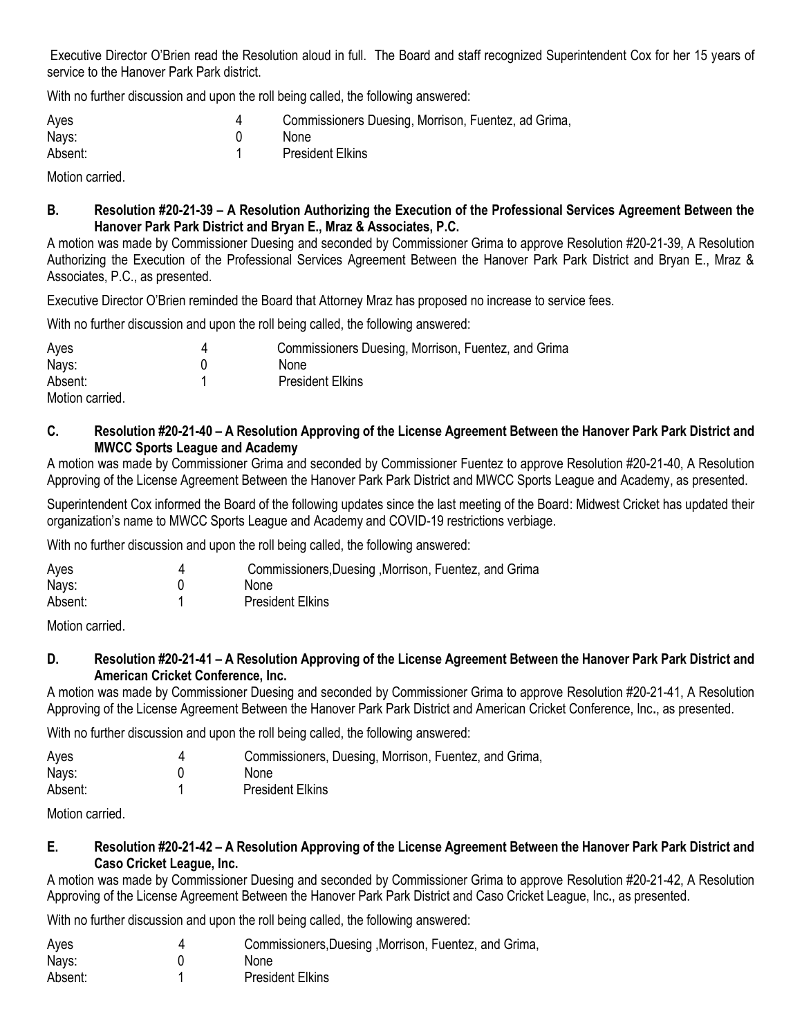Executive Director O'Brien read the Resolution aloud in full. The Board and staff recognized Superintendent Cox for her 15 years of service to the Hanover Park Park district.

With no further discussion and upon the roll being called, the following answered:

| Ayes    | Commissioners Duesing, Morrison, Fuentez, ad Grima, |
|---------|-----------------------------------------------------|
| Nays:   | <b>None</b>                                         |
| Absent: | <b>President Elkins</b>                             |

Motion carried.

### **B. Resolution #20-21-39 – A Resolution Authorizing the Execution of the Professional Services Agreement Between the Hanover Park Park District and Bryan E., Mraz & Associates, P.C.**

A motion was made by Commissioner Duesing and seconded by Commissioner Grima to approve Resolution #20-21-39, A Resolution Authorizing the Execution of the Professional Services Agreement Between the Hanover Park Park District and Bryan E., Mraz & Associates, P.C., as presented.

Executive Director O'Brien reminded the Board that Attorney Mraz has proposed no increase to service fees.

With no further discussion and upon the roll being called, the following answered:

| Ayes            | 4 | Commissioners Duesing, Morrison, Fuentez, and Grima |
|-----------------|---|-----------------------------------------------------|
| Nays:           |   | None                                                |
| Absent:         |   | <b>President Elkins</b>                             |
| Motion carried. |   |                                                     |

### **C. Resolution #20-21-40 – A Resolution Approving of the License Agreement Between the Hanover Park Park District and MWCC Sports League and Academy**

A motion was made by Commissioner Grima and seconded by Commissioner Fuentez to approve Resolution #20-21-40, A Resolution Approving of the License Agreement Between the Hanover Park Park District and MWCC Sports League and Academy, as presented.

Superintendent Cox informed the Board of the following updates since the last meeting of the Board: Midwest Cricket has updated their organization's name to MWCC Sports League and Academy and COVID-19 restrictions verbiage.

With no further discussion and upon the roll being called, the following answered:

| Ayes    | Commissioners, Duesing, Morrison, Fuentez, and Grima |
|---------|------------------------------------------------------|
| Nays:   | <b>None</b>                                          |
| Absent: | <b>President Elkins</b>                              |

Motion carried.

### **D. Resolution #20-21-41 – A Resolution Approving of the License Agreement Between the Hanover Park Park District and American Cricket Conference, Inc.**

A motion was made by Commissioner Duesing and seconded by Commissioner Grima to approve Resolution #20-21-41, A Resolution Approving of the License Agreement Between the Hanover Park Park District and American Cricket Conference, Inc**.**, as presented.

With no further discussion and upon the roll being called, the following answered:

| Ayes    | Commissioners, Duesing, Morrison, Fuentez, and Grima, |
|---------|-------------------------------------------------------|
| Nays:   | <b>None</b>                                           |
| Absent: | <b>President Elkins</b>                               |

Motion carried.

### **E. Resolution #20-21-42 – A Resolution Approving of the License Agreement Between the Hanover Park Park District and Caso Cricket League, Inc.**

A motion was made by Commissioner Duesing and seconded by Commissioner Grima to approve Resolution #20-21-42, A Resolution Approving of the License Agreement Between the Hanover Park Park District and Caso Cricket League, Inc**.**, as presented.

With no further discussion and upon the roll being called, the following answered:

| Ayes    | Commissioners, Duesing, Morrison, Fuentez, and Grima, |
|---------|-------------------------------------------------------|
| Nays:   | None                                                  |
| Absent: | <b>President Elkins</b>                               |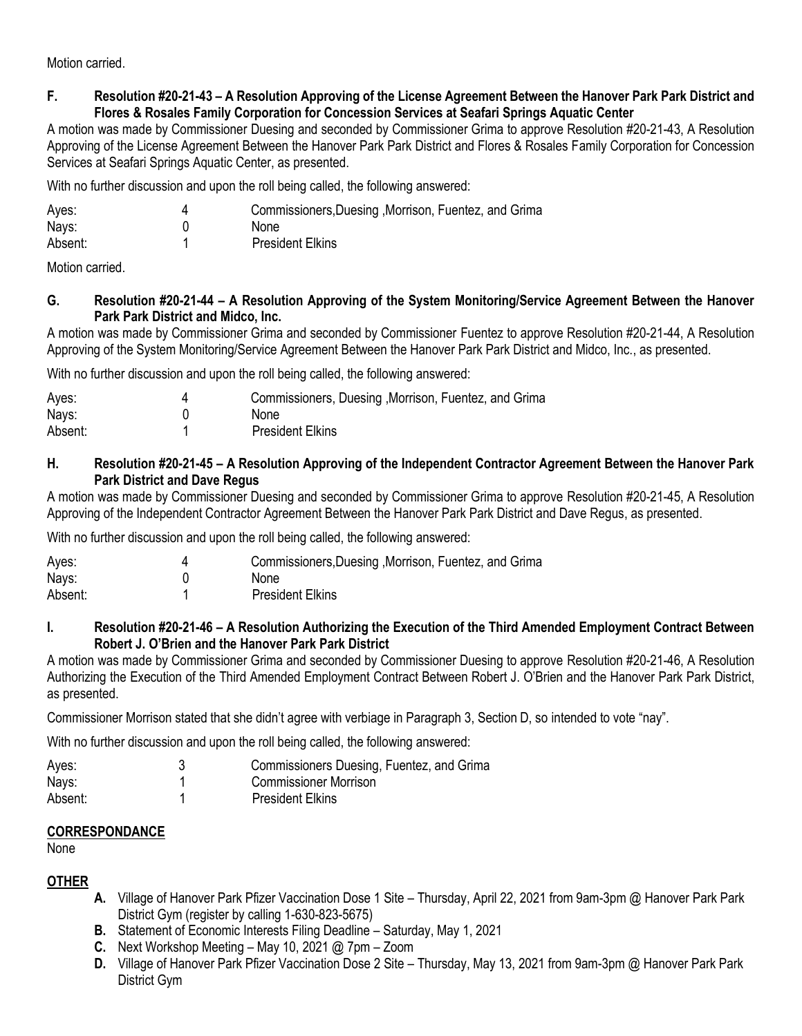Motion carried.

### **F. Resolution #20-21-43 – A Resolution Approving of the License Agreement Between the Hanover Park Park District and Flores & Rosales Family Corporation for Concession Services at Seafari Springs Aquatic Center**

A motion was made by Commissioner Duesing and seconded by Commissioner Grima to approve Resolution #20-21-43, A Resolution Approving of the License Agreement Between the Hanover Park Park District and Flores & Rosales Family Corporation for Concession Services at Seafari Springs Aquatic Center, as presented.

With no further discussion and upon the roll being called, the following answered:

| Ayes:   | Commissioners, Duesing, Morrison, Fuentez, and Grima |
|---------|------------------------------------------------------|
| Nays:   | None                                                 |
| Absent: | <b>President Elkins</b>                              |

Motion carried.

### **G. Resolution #20-21-44 – A Resolution Approving of the System Monitoring/Service Agreement Between the Hanover Park Park District and Midco, Inc.**

A motion was made by Commissioner Grima and seconded by Commissioner Fuentez to approve Resolution #20-21-44, A Resolution Approving of the System Monitoring/Service Agreement Between the Hanover Park Park District and Midco, Inc., as presented.

With no further discussion and upon the roll being called, the following answered:

| Ayes:   | Commissioners, Duesing, Morrison, Fuentez, and Grima |
|---------|------------------------------------------------------|
| Nays:   | None                                                 |
| Absent: | <b>President Elkins</b>                              |

## **H. Resolution #20-21-45 – A Resolution Approving of the Independent Contractor Agreement Between the Hanover Park Park District and Dave Regus**

A motion was made by Commissioner Duesing and seconded by Commissioner Grima to approve Resolution #20-21-45, A Resolution Approving of the Independent Contractor Agreement Between the Hanover Park Park District and Dave Regus, as presented.

With no further discussion and upon the roll being called, the following answered:

| Ayes:   | Commissioners, Duesing, Morrison, Fuentez, and Grima |
|---------|------------------------------------------------------|
| Nays:   | <b>None</b>                                          |
| Absent: | <b>President Elkins</b>                              |

### **I. Resolution #20-21-46 – A Resolution Authorizing the Execution of the Third Amended Employment Contract Between Robert J. O'Brien and the Hanover Park Park District**

A motion was made by Commissioner Grima and seconded by Commissioner Duesing to approve Resolution #20-21-46, A Resolution Authorizing the Execution of the Third Amended Employment Contract Between Robert J. O'Brien and the Hanover Park Park District, as presented.

Commissioner Morrison stated that she didn't agree with verbiage in Paragraph 3, Section D, so intended to vote "nay".

With no further discussion and upon the roll being called, the following answered:

| Ayes:   | Commissioners Duesing, Fuentez, and Grima |
|---------|-------------------------------------------|
| Nays:   | <b>Commissioner Morrison</b>              |
| Absent: | <b>President Elkins</b>                   |

# **CORRESPONDANCE**

None

# **OTHER**

- **A.** Village of Hanover Park Pfizer Vaccination Dose 1 Site Thursday, April 22, 2021 from 9am-3pm @ Hanover Park Park District Gym (register by calling 1-630-823-5675)
- **B.** Statement of Economic Interests Filing Deadline Saturday, May 1, 2021
- **C.** Next Workshop Meeting May 10, 2021 @ 7pm Zoom
- **D.** Village of Hanover Park Pfizer Vaccination Dose 2 Site Thursday, May 13, 2021 from 9am-3pm @ Hanover Park Park District Gym